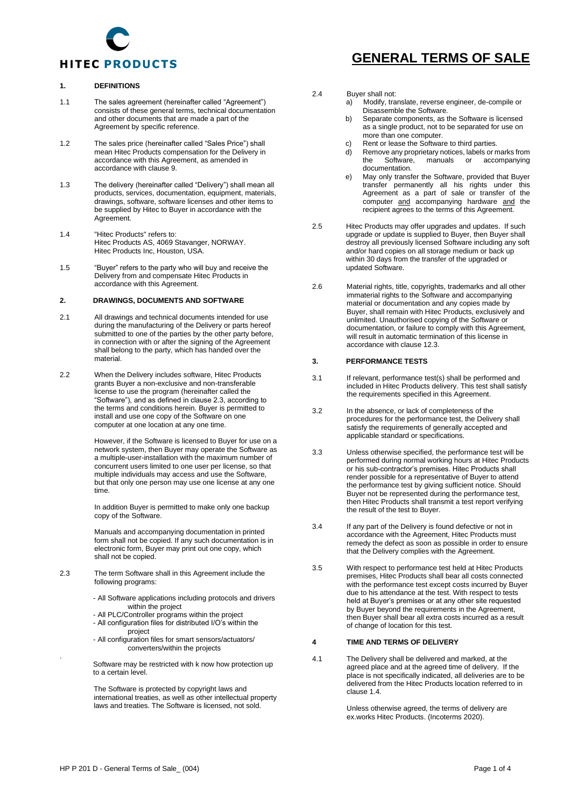

#### **1. DEFINITIONS**

- 1.1 The sales agreement (hereinafter called "Agreement") consists of these general terms, technical documentation and other documents that are made a part of the Agreement by specific reference.
- 1.2 The sales price (hereinafter called "Sales Price") shall mean Hitec Products compensation for the Delivery in accordance with this Agreement, as amended in accordance with clause 9.
- 1.3 The delivery (hereinafter called "Delivery") shall mean all products, services, documentation, equipment, materials, drawings, software, software licenses and other items to be supplied by Hitec to Buyer in accordance with the Agreement.
- 1.4 "Hitec Products" refers to: Hitec Products AS, 4069 Stavanger, NORWAY. Hitec Products Inc, Houston, USA.
- 1.5 "Buyer" refers to the party who will buy and receive the Delivery from and compensate Hitec Products in accordance with this Agreement.

#### **2. DRAWINGS, DOCUMENTS AND SOFTWARE**

- 2.1 All drawings and technical documents intended for use during the manufacturing of the Delivery or parts hereof submitted to one of the parties by the other party before, in connection with or after the signing of the Agreement shall belong to the party, which has handed over the material.
- 2.2 When the Delivery includes software, Hitec Products grants Buyer a non-exclusive and non-transferable license to use the program (hereinafter called the "Software"), and as defined in clause 2.3, according to the terms and conditions herein. Buyer is permitted to install and use one copy of the Software on one computer at one location at any one time.

However, if the Software is licensed to Buyer for use on a network system, then Buyer may operate the Software as a multiple-user-installation with the maximum number of concurrent users limited to one user per license, so that multiple individuals may access and use the Software, but that only one person may use one license at any one time.

In addition Buyer is permitted to make only one backup copy of the Software.

Manuals and accompanying documentation in printed form shall not be copied. If any such documentation is in electronic form, Buyer may print out one copy, which shall not be copied.

- 2.3 The term Software shall in this Agreement include the following programs:
	- All Software applications including protocols and drivers within the project
	- All PLC/Controller programs within the project
	- All configuration files for distributed I/O's within the project
	- All configuration files for smart sensors/actuators/ converters/within the projects

Software may be restricted with k now how protection up to a certain level.

The Software is protected by copyright laws and international treaties, as well as other intellectual property laws and treaties. The Software is licensed, not sold.

# **GENERAL TERMS OF SALE**

2.4 Buyer shall not:<br>a) Modify. tra

- a) Modify, translate, reverse engineer, de-compile or Disassemble the Software.
- b) Separate components, as the Software is licensed as a single product, not to be separated for use on more than one computer.
- c) Rent or lease the Software to third parties.
- d) Remove any proprietary notices, labels or marks from accompanying documentation.
- e) May only transfer the Software, provided that Buyer transfer permanently all his rights under this Agreement as a part of sale or transfer of the computer and accompanying hardware and the recipient agrees to the terms of this Agreement.
- 2.5 Hitec Products may offer upgrades and updates. If such upgrade or update is supplied to Buyer, then Buyer shall destroy all previously licensed Software including any soft and/or hard copies on all storage medium or back up within 30 days from the transfer of the upgraded or updated Software.
- 2.6 Material rights, title, copyrights, trademarks and all other immaterial rights to the Software and accompanying material or documentation and any copies made by Buyer, shall remain with Hitec Products, exclusively and unlimited. Unauthorised copying of the Software or documentation, or failure to comply with this Agreement, will result in automatic termination of this license in accordance with clause 12.3.

## **3. PERFORMANCE TESTS**

- 3.1 If relevant, performance test(s) shall be performed and included in Hitec Products delivery. This test shall satisfy the requirements specified in this Agreement.
- 3.2 In the absence, or lack of completeness of the procedures for the performance test, the Delivery shall satisfy the requirements of generally accepted and applicable standard or specifications.
- 3.3 Unless otherwise specified, the performance test will be performed during normal working hours at Hitec Products or his sub-contractor's premises. Hitec Products shall render possible for a representative of Buyer to attend the performance test by giving sufficient notice. Should Buyer not be represented during the performance test, then Hitec Products shall transmit a test report verifying the result of the test to Buyer.
- 3.4 If any part of the Delivery is found defective or not in accordance with the Agreement, Hitec Products must remedy the defect as soon as possible in order to ensure that the Delivery complies with the Agreement.
- 3.5 With respect to performance test held at Hitec Products premises, Hitec Products shall bear all costs connected with the performance test except costs incurred by Buyer due to his attendance at the test. With respect to tests held at Buyer's premises or at any other site requested by Buyer beyond the requirements in the Agreement, then Buyer shall bear all extra costs incurred as a result of change of location for this test.

#### **4 TIME AND TERMS OF DELIVERY**

4.1 The Delivery shall be delivered and marked, at the agreed place and at the agreed time of delivery. If the place is not specifically indicated, all deliveries are to be delivered from the Hitec Products location referred to in clause 1.4.

> Unless otherwise agreed, the terms of delivery are ex.works Hitec Products. (Incoterms 2020).

.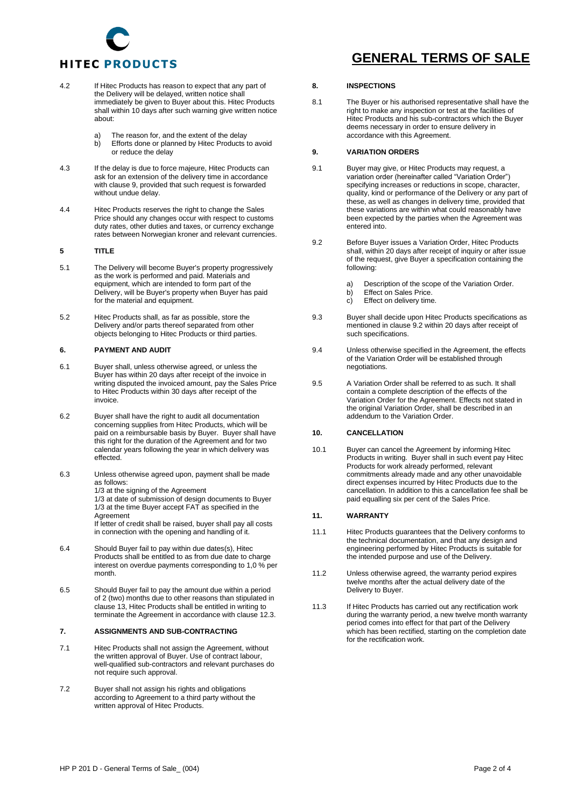

- 4.2 If Hitec Products has reason to expect that any part of the Delivery will be delayed, written notice shall immediately be given to Buyer about this. Hitec Products shall within 10 days after such warning give written notice about:
	- a) The reason for, and the extent of the delay<br>b) Efforts done or planned by Hitec Products Efforts done or planned by Hitec Products to avoid or reduce the delay
- 4.3 If the delay is due to force majeure, Hitec Products can ask for an extension of the delivery time in accordance with clause 9, provided that such request is forwarded without undue delay.
- 4.4 Hitec Products reserves the right to change the Sales Price should any changes occur with respect to customs duty rates, other duties and taxes, or currency exchange rates between Norwegian kroner and relevant currencies.

## **5 TITLE**

- 5.1 The Delivery will become Buyer's property progressively as the work is performed and paid. Materials and equipment, which are intended to form part of the Delivery, will be Buyer's property when Buyer has paid for the material and equipment.
- 5.2 Hitec Products shall, as far as possible, store the Delivery and/or parts thereof separated from other objects belonging to Hitec Products or third parties.

#### **6. PAYMENT AND AUDIT**

- 6.1 Buyer shall, unless otherwise agreed, or unless the Buyer has within 20 days after receipt of the invoice in writing disputed the invoiced amount, pay the Sales Price to Hitec Products within 30 days after receipt of the invoice.
- 6.2 Buyer shall have the right to audit all documentation concerning supplies from Hitec Products, which will be paid on a reimbursable basis by Buyer. Buyer shall have this right for the duration of the Agreement and for two calendar years following the year in which delivery was effected.
- 6.3 Unless otherwise agreed upon, payment shall be made as follows: 1/3 at the signing of the Agreement 1/3 at date of submission of design documents to Buyer 1/3 at the time Buyer accept FAT as specified in the Agreement If letter of credit shall be raised, buyer shall pay all costs in connection with the opening and handling of it.
- 6.4 Should Buyer fail to pay within due dates(s), Hitec Products shall be entitled to as from due date to charge interest on overdue payments corresponding to 1,0 % per month.
- 6.5 Should Buyer fail to pay the amount due within a period of 2 (two) months due to other reasons than stipulated in clause 13, Hitec Products shall be entitled in writing to terminate the Agreement in accordance with clause 12.3.

#### **7. ASSIGNMENTS AND SUB-CONTRACTING**

- 7.1 Hitec Products shall not assign the Agreement, without the written approval of Buyer. Use of contract labour, well-qualified sub-contractors and relevant purchases do not require such approval.
- 7.2 Buyer shall not assign his rights and obligations according to Agreement to a third party without the written approval of Hitec Products.

# **GENERAL TERMS OF SALE**

#### **8. INSPECTIONS**

8.1 The Buyer or his authorised representative shall have the right to make any inspection or test at the facilities of Hitec Products and his sub-contractors which the Buyer deems necessary in order to ensure delivery in accordance with this Agreement.

## **9. VARIATION ORDERS**

- 9.1 Buyer may give, or Hitec Products may request, a variation order (hereinafter called "Variation Order") specifying increases or reductions in scope, character, quality, kind or performance of the Delivery or any part of these, as well as changes in delivery time, provided that these variations are within what could reasonably have been expected by the parties when the Agreement was entered into.
- 9.2 Before Buyer issues a Variation Order, Hitec Products shall, within 20 days after receipt of inquiry or after issue of the request, give Buyer a specification containing the following:
	- a) Description of the scope of the Variation Order.<br>b) Effect on Sales Price
	- b) Effect on Sales Price.<br>c) Effect on delivery time
	- Effect on delivery time.
- 9.3 Buyer shall decide upon Hitec Products specifications as mentioned in clause 9.2 within 20 days after receipt of such specifications.
- 9.4 Unless otherwise specified in the Agreement, the effects of the Variation Order will be established through negotiations.
- 9.5 A Variation Order shall be referred to as such. It shall contain a complete description of the effects of the Variation Order for the Agreement. Effects not stated in the original Variation Order, shall be described in an addendum to the Variation Order.

## **10. CANCELLATION**

10.1 Buyer can cancel the Agreement by informing Hitec Products in writing. Buyer shall in such event pay Hitec Products for work already performed, relevant commitments already made and any other unavoidable direct expenses incurred by Hitec Products due to the cancellation. In addition to this a cancellation fee shall be paid equalling six per cent of the Sales Price.

#### **11. WARRANTY**

- 11.1 Hitec Products guarantees that the Delivery conforms to the technical documentation, and that any design and engineering performed by Hitec Products is suitable for the intended purpose and use of the Delivery.
- 11.2 Unless otherwise agreed, the warranty period expires twelve months after the actual delivery date of the Delivery to Buyer.
- 11.3 If Hitec Products has carried out any rectification work during the warranty period, a new twelve month warranty period comes into effect for that part of the Delivery which has been rectified, starting on the completion date for the rectification work.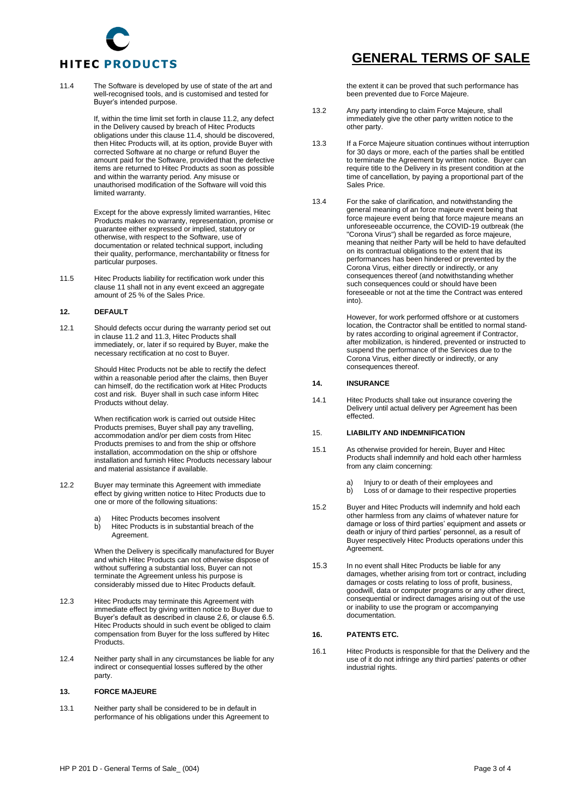

11.4 The Software is developed by use of state of the art and well-recognised tools, and is customised and tested for Buyer's intended purpose.

> If, within the time limit set forth in clause 11.2, any defect in the Delivery caused by breach of Hitec Products obligations under this clause 11.4, should be discovered, then Hitec Products will, at its option, provide Buyer with corrected Software at no charge or refund Buyer the amount paid for the Software, provided that the defective items are returned to Hitec Products as soon as possible and within the warranty period. Any misuse or unauthorised modification of the Software will void this limited warranty.

> Except for the above expressly limited warranties, Hitec Products makes no warranty, representation, promise or guarantee either expressed or implied, statutory or otherwise, with respect to the Software, use of documentation or related technical support, including their quality, performance, merchantability or fitness for particular purposes.

11.5 Hitec Products liability for rectification work under this clause 11 shall not in any event exceed an aggregate amount of 25 % of the Sales Price.

## **12. DEFAULT**

12.1 Should defects occur during the warranty period set out in clause 11.2 and 11.3, Hitec Products shall immediately, or, later if so required by Buyer, make the necessary rectification at no cost to Buyer.

> Should Hitec Products not be able to rectify the defect within a reasonable period after the claims, then Buyer can himself, do the rectification work at Hitec Products cost and risk. Buyer shall in such case inform Hitec Products without delay.

When rectification work is carried out outside Hitec Products premises, Buyer shall pay any travelling, accommodation and/or per diem costs from Hitec Products premises to and from the ship or offshore installation, accommodation on the ship or offshore installation and furnish Hitec Products necessary labour and material assistance if available.

- 12.2 Buyer may terminate this Agreement with immediate effect by giving written notice to Hitec Products due to one or more of the following situations:
	- a) Hitec Products becomes insolvent<br>b) Hitec Products is in substantial bre
	- Hitec Products is in substantial breach of the Agreement.

When the Delivery is specifically manufactured for Buyer and which Hitec Products can not otherwise dispose of without suffering a substantial loss, Buyer can not terminate the Agreement unless his purpose is considerably missed due to Hitec Products default.

- 12.3 Hitec Products may terminate this Agreement with immediate effect by giving written notice to Buyer due to Buyer's default as described in clause 2.6, or clause 6.5. Hitec Products should in such event be obliged to claim compensation from Buyer for the loss suffered by Hitec Products.
- 12.4 Neither party shall in any circumstances be liable for any indirect or consequential losses suffered by the other party.

## **13. FORCE MAJEURE**

13.1 Neither party shall be considered to be in default in performance of his obligations under this Agreement to

## **GENERAL TERMS OF SALE**

the extent it can be proved that such performance has been prevented due to Force Majeure.

- 13.2 Any party intending to claim Force Majeure, shall immediately give the other party written notice to the other party.
- 13.3 If a Force Majeure situation continues without interruption for 30 days or more, each of the parties shall be entitled to terminate the Agreement by written notice. Buyer can require title to the Delivery in its present condition at the time of cancellation, by paying a proportional part of the Sales Price.
- 13.4 For the sake of clarification, and notwithstanding the general meaning of an force majeure event being that force majeure event being that force majeure means an unforeseeable occurrence, the COVID-19 outbreak (the "Corona Virus") shall be regarded as force majeure, meaning that neither Party will be held to have defaulted on its contractual obligations to the extent that its performances has been hindered or prevented by the Corona Virus, either directly or indirectly, or any consequences thereof (and notwithstanding whether such consequences could or should have been foreseeable or not at the time the Contract was entered into).

However, for work performed offshore or at customers location, the Contractor shall be entitled to normal standby rates according to original agreement if Contractor, after mobilization, is hindered, prevented or instructed to suspend the performance of the Services due to the Corona Virus, either directly or indirectly, or any consequences thereof.

## **14. INSURANCE**

14.1 Hitec Products shall take out insurance covering the Delivery until actual delivery per Agreement has been effected.

#### 15. **LIABILITY AND INDEMNIFICATION**

- 15.1 As otherwise provided for herein, Buyer and Hitec Products shall indemnify and hold each other harmless from any claim concerning:
	- a) Injury to or death of their employees and
	- b) Loss of or damage to their respective properties
- 15.2 Buyer and Hitec Products will indemnify and hold each other harmless from any claims of whatever nature for damage or loss of third parties' equipment and assets or death or injury of third parties' personnel, as a result of Buyer respectively Hitec Products operations under this Agreement.
- 15.3 In no event shall Hitec Products be liable for any damages, whether arising from tort or contract, including damages or costs relating to loss of profit, business, goodwill, data or computer programs or any other direct, consequential or indirect damages arising out of the use or inability to use the program or accompanying documentation.

## **16. PATENTS ETC.**

16.1 Hitec Products is responsible for that the Delivery and the use of it do not infringe any third parties' patents or other industrial rights.